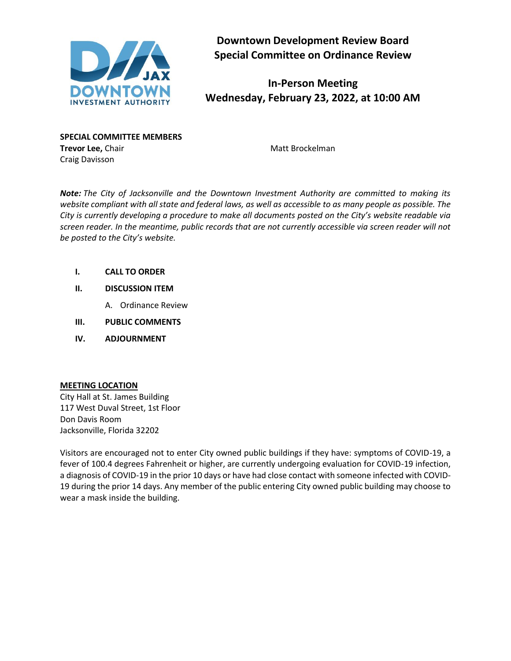

**Downtown Development Review Board Special Committee on Ordinance Review**

**In-Person Meeting Wednesday, February 23, 2022, at 10:00 AM**

**SPECIAL COMMITTEE MEMBERS Trevor Lee, Chair Matt Brockelman** Craig Davisson

*Note: The City of Jacksonville and the Downtown Investment Authority are committed to making its website compliant with all state and federal laws, as well as accessible to as many people as possible. The City is currently developing a procedure to make all documents posted on the City's website readable via screen reader. In the meantime, public records that are not currently accessible via screen reader will not be posted to the City's website.* 

- **I. CALL TO ORDER**
- **II. DISCUSSION ITEM**
	- A. Ordinance Review
- **III. PUBLIC COMMENTS**
- **IV. ADJOURNMENT**

## **MEETING LOCATION**

City Hall at St. James Building 117 West Duval Street, 1st Floor Don Davis Room Jacksonville, Florida 32202

Visitors are encouraged not to enter City owned public buildings if they have: symptoms of COVID-19, a fever of 100.4 degrees Fahrenheit or higher, are currently undergoing evaluation for COVID-19 infection, a diagnosis of COVID-19 in the prior 10 days or have had close contact with someone infected with COVID-19 during the prior 14 days. Any member of the public entering City owned public building may choose to wear a mask inside the building.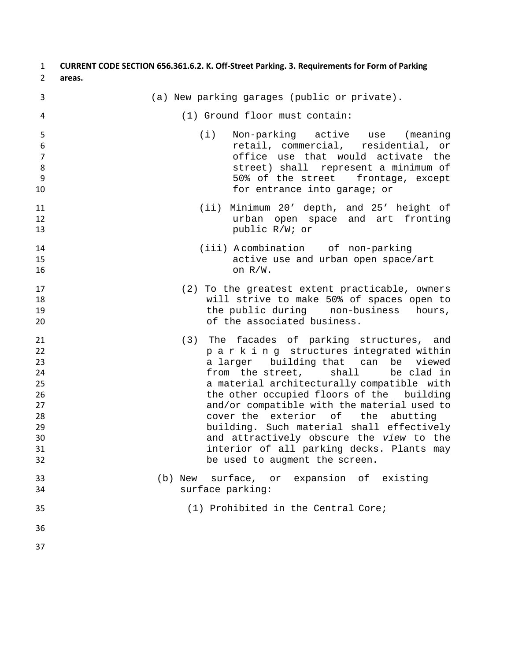| $\mathbf{1}$<br>$\overline{2}$                                       | CURRENT CODE SECTION 656.361.6.2. K. Off-Street Parking. 3. Requirements for Form of Parking<br>areas.                                                                                                                                                                                                                                                                                                                                                                                                                                       |
|----------------------------------------------------------------------|----------------------------------------------------------------------------------------------------------------------------------------------------------------------------------------------------------------------------------------------------------------------------------------------------------------------------------------------------------------------------------------------------------------------------------------------------------------------------------------------------------------------------------------------|
| 3                                                                    | (a) New parking garages (public or private).                                                                                                                                                                                                                                                                                                                                                                                                                                                                                                 |
| 4                                                                    | (1) Ground floor must contain:                                                                                                                                                                                                                                                                                                                                                                                                                                                                                                               |
| 5<br>6<br>$\overline{7}$<br>8<br>$\boldsymbol{9}$<br>10              | (i)<br>Non-parking active use (meaning<br>retail, commercial, residential, or<br>office use that would activate the<br>street) shall represent a minimum of<br>50% of the street frontage, except<br>for entrance into garage; or                                                                                                                                                                                                                                                                                                            |
| 11<br>12<br>13                                                       | Minimum 20' depth, and 25' height of<br>$(i$ ii)<br>urban open space and art fronting<br>public R/W; or                                                                                                                                                                                                                                                                                                                                                                                                                                      |
| 14<br>15<br>16                                                       | (iii) Acombination of non-parking<br>active use and urban open space/art<br>on R/W.                                                                                                                                                                                                                                                                                                                                                                                                                                                          |
| 17<br>18<br>19<br>20                                                 | (2) To the greatest extent practicable, owners<br>will strive to make 50% of spaces open to<br>the public during non-business<br>hours,<br>of the associated business.                                                                                                                                                                                                                                                                                                                                                                       |
| 21<br>22<br>23<br>24<br>25<br>26<br>27<br>28<br>29<br>30<br>31<br>32 | (3) The facades of parking structures, and<br>p a r k i n g structures integrated within<br>a larger building that can<br>be<br>viewed<br>shall<br>from the street,<br>be clad in<br>a material architecturally compatible with<br>the other occupied floors of the building<br>and/or compatible with the material used to<br>cover the exterior of<br>the abutting<br>building. Such material shall effectively<br>and attractively obscure the view to the<br>interior of all parking decks. Plants may<br>be used to augment the screen. |
| 33<br>34                                                             | surface, or expansion of existing<br>(b) New<br>surface parking:                                                                                                                                                                                                                                                                                                                                                                                                                                                                             |
| 35                                                                   | (1) Prohibited in the Central Core;                                                                                                                                                                                                                                                                                                                                                                                                                                                                                                          |
| 36                                                                   |                                                                                                                                                                                                                                                                                                                                                                                                                                                                                                                                              |
| 37                                                                   |                                                                                                                                                                                                                                                                                                                                                                                                                                                                                                                                              |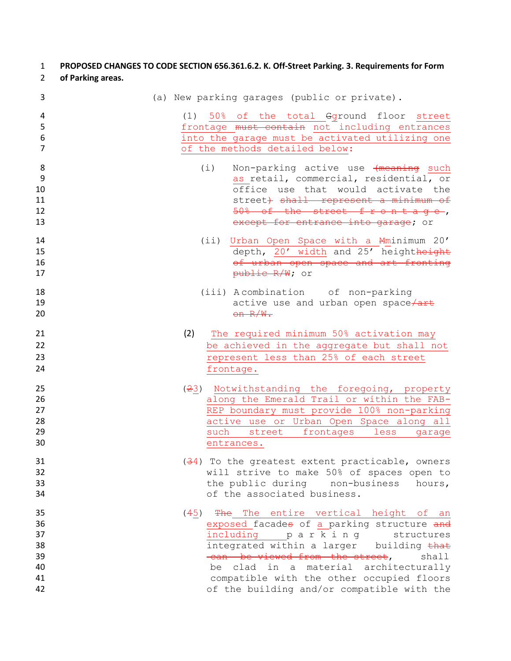- **PROPOSED CHANGES TO CODE SECTION 656.361.6.2. K. Off-Street Parking. 3. Requirements for Form**
- **of Parking areas.**

| 3                                            | (a) New parking garages (public or private).                                                                                                                                                                                                                                                                                                           |
|----------------------------------------------|--------------------------------------------------------------------------------------------------------------------------------------------------------------------------------------------------------------------------------------------------------------------------------------------------------------------------------------------------------|
| 4<br>5<br>6<br>7                             | 50% of the total <del>G</del> ground floor street<br>(1)<br>frontage must contain not including entrances<br>into the garage must be activated utilizing one<br>of the methods detailed below:                                                                                                                                                         |
| 8<br>9<br>10<br>11<br>12<br>13               | (i)<br>Non-parking active use (meaning such<br>as retail, commercial, residential, or<br>office use that would activate the<br>street) shall represent a minimum of<br>50% of the street frontage,<br>except for entrance into garage; or                                                                                                              |
| 14<br>15<br>16<br>17                         | (ii) Urban Open Space with a Mminimum 20'<br>depth, 20' width and 25' heightheight<br>of urban open space and art fronting<br>public R/W; or                                                                                                                                                                                                           |
| 18<br>19<br>20                               | (iii) Acombination of non-parking<br>active use and urban open space/art<br>on R/W.                                                                                                                                                                                                                                                                    |
| 21<br>22<br>23<br>24                         | (2)<br>The required minimum 50% activation may<br>be achieved in the aggregate but shall not<br>represent less than 25% of each street<br>frontage.                                                                                                                                                                                                    |
| 25<br>26<br>27<br>28<br>29<br>30             | (23) Notwithstanding the foregoing, property<br>along the Emerald Trail or within the FAB-<br>REP boundary must provide 100% non-parking<br>active use or Urban Open Space along all<br>such<br>street<br>frontages<br>less<br>garage<br>entrances.                                                                                                    |
| 31<br>32<br>33<br>34                         | $(34)$ To the greatest extent practicable, owners<br>will strive to make 50% of spaces open to<br>the public during non-business hours,<br>of the associated business.                                                                                                                                                                                 |
| 35<br>36<br>37<br>38<br>39<br>40<br>41<br>42 | (45) The The entire vertical height of an<br>exposed facades of a parking structure and<br>including parking structures<br>integrated within a larger building that<br>-can be viewed from the street,<br>shall<br>clad in a material architecturally<br>be<br>compatible with the other occupied floors<br>of the building and/or compatible with the |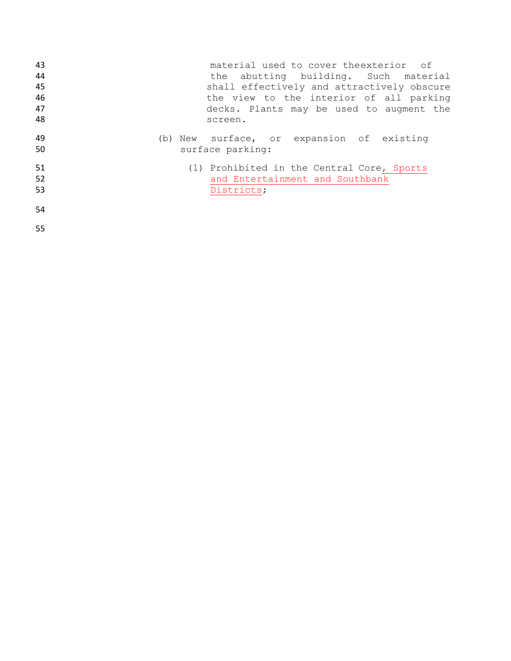| 43 | material used to cover theexterior of      |
|----|--------------------------------------------|
| 44 | the abutting building. Such material       |
| 45 | shall effectively and attractively obscure |
| 46 | the view to the interior of all parking    |
| 47 | decks. Plants may be used to augment the   |
| 48 | screen.                                    |
| 49 | (b) New surface, or expansion of existing  |
| 50 | surface parking:                           |
| 51 | (1) Prohibited in the Central Core, Sports |
| 52 | and Entertainment and Southbank            |
| 53 | Districts;                                 |
| 54 |                                            |
| 55 |                                            |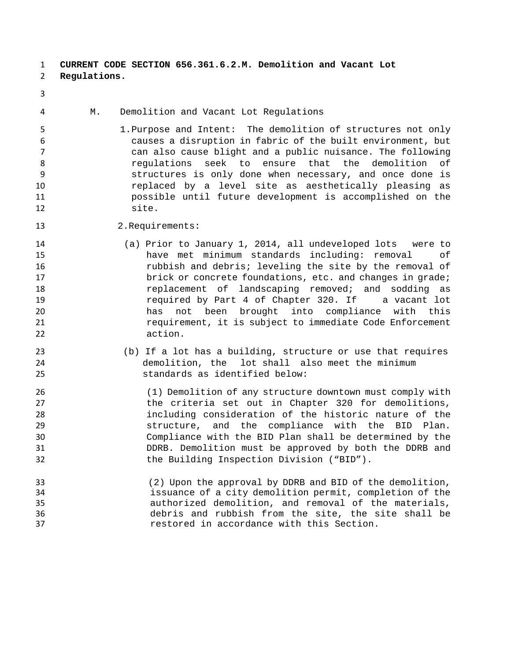**CURRENT CODE SECTION 656.361.6.2.M. Demolition and Vacant Lot Regulations.**

## M. Demolition and Vacant Lot Regulations

- 1.Purpose and Intent: The demolition of structures not only causes a disruption in fabric of the built environment, but can also cause blight and a public nuisance. The following regulations seek to ensure that the demolition of structures is only done when necessary, and once done is replaced by a level site as aesthetically pleasing as possible until future development is accomplished on the site.
- 2.Requirements:

- (a) Prior to January 1, 2014, all undeveloped lots were to have met minimum standards including: removal of rubbish and debris; leveling the site by the removal of **brick or concrete foundations, etc. and changes in grade;**  replacement of landscaping removed; and sodding as required by Part 4 of Chapter 320. If a vacant lot 20 has not been brought into compliance with this<br>21 has not been brought into compliance with this requirement, it is subject to immediate Code Enforcement action.
- 23 (b) If a lot has a building, structure or use that requires<br>24 demolition, the lot shall also meet the minimum 24 demolition, the lot shall also meet the minimum<br>25 standards as identified below: standards as identified below:
- (1) Demolition of any structure downtown must comply with the criteria set out in Chapter 320 for demolitions, including consideration of the historic nature of the structure, and the compliance with the BID Plan. Compliance with the BID Plan shall be determined by the DDRB. Demolition must be approved by both the DDRB and the Building Inspection Division ("BID").
- 33 (2) Upon the approval by DDRB and BID of the demolition,<br>34 Same issuance of a city demolition permit, completion of the 34 issuance of a city demolition permit, completion of the<br>35 authorized demolition, and removal of the materials. authorized demolition, and removal of the materials, 36 36 debris and rubbish from the site, the site shall be 37 restored in accordance with this Section.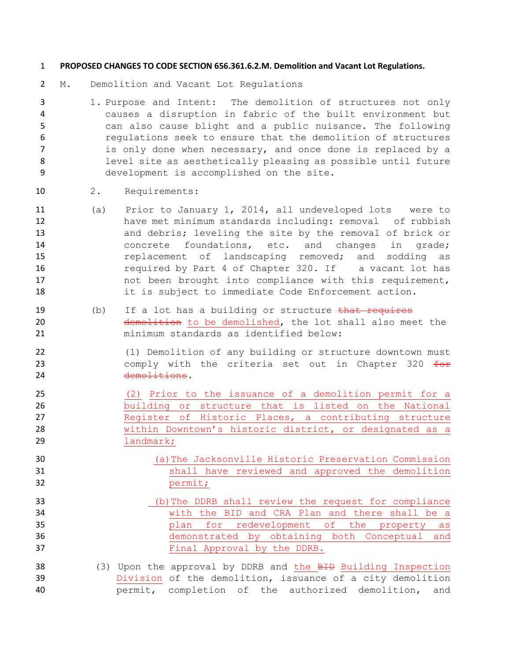## **PROPOSED CHANGES TO CODE SECTION 656.361.6.2.M. Demolition and Vacant Lot Regulations.**

- M. Demolition and Vacant Lot Regulations
- 1. Purpose and Intent: The demolition of structures not only causes a disruption in fabric of the built environment but can also cause blight and a public nuisance. The following regulations seek to ensure that the demolition of structures 7 is only done when necessary, and once done is replaced by a level site as aesthetically pleasing as possible until future development is accomplished on the site.
- 2. Requirements:
- (a) Prior to January 1, 2014, all undeveloped lots were to have met minimum standards including: removal of rubbish and debris; leveling the site by the removal of brick or concrete foundations, etc. and changes in grade; replacement of landscaping removed; and sodding as required by Part 4 of Chapter 320. If a vacant lot has not been brought into compliance with this requirement, 18 it is subject to immediate Code Enforcement action.
- 19 (b) If a lot has a building or structure  $\frac{1}{2}$  that requires 20 demolition to be demolished, the lot shall also meet the minimum standards as identified below:
- (1) Demolition of any building or structure downtown must 23 comply with the criteria set out in Chapter 320 for 24 demolitions.
- (2) Prior to the issuance of a demolition permit for a building or structure that is listed on the National Register of Historic Places, a contributing structure within Downtown's historic district, or designated as a landmark;
- (a)The Jacksonville Historic Preservation Commission shall have reviewed and approved the demolition permit;
- (b)The DDRB shall review the request for compliance with the BID and CRA Plan and there shall be a plan for redevelopment of the property as demonstrated by obtaining both Conceptual and Final Approval by the DDRB.
- 38 (3) Upon the approval by DDRB and the  $BFD$  Building Inspection Division of the demolition, issuance of a city demolition permit, completion of the authorized demolition, and